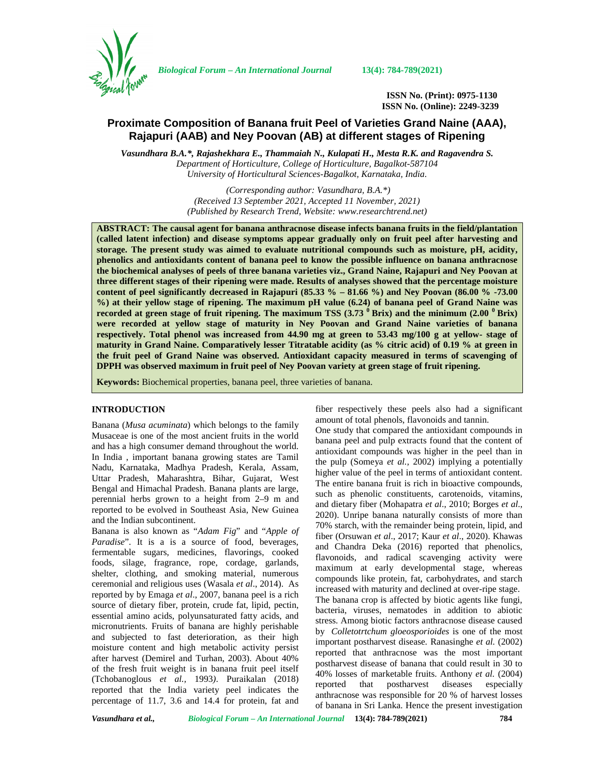

*Biological Forum – An International Journal* **13(4): 784-789(2021)**

**ISSN No. (Print): 0975-1130 ISSN No. (Online): 2249-3239**

# **Proximate Composition of Banana fruit Peel of Varieties Grand Naine (AAA), Rajapuri (AAB) and Ney Poovan (AB) at different stages of Ripening**

*Vasundhara B.A.\*, Rajashekhara E., Thammaiah N., Kulapati H., Mesta R.K. and Ragavendra S. Department of Horticulture, College of Horticulture, Bagalkot-587104 University of Horticultural Sciences-Bagalkot, Karnataka, India*.

> *(Corresponding author: Vasundhara, B.A.\*) (Received 13 September 2021, Accepted 11 November, 2021) (Published by Research Trend, Website: [www.researchtrend.net\)](www.researchtrend.net)*

**ABSTRACT: The causal agent for banana anthracnose disease infects banana fruits in the field/plantation (called latent infection) and disease symptoms appear gradually only on fruit peel after harvesting and storage. The present study was aimed to evaluate nutritional compounds such as moisture, pH, acidity, phenolics and antioxidants content of banana peel to know the possible influence on banana anthracnose the biochemical analyses of peels of three banana varieties viz., Grand Naine, Rajapuri and Ney Poovan at three different stages of their ripening were made. Results of analyses showed that the percentage moisture content of peel significantly decreased in Rajapuri (85.33 % – 81.66 %) and Ney Poovan (86.00 % -73.00 %) at their yellow stage of ripening. The maximum pH value (6.24) of banana peel of Grand Naine was recorded at green stage of fruit ripening. The maximum TSS (3.73 <sup>0</sup> Brix) and the minimum (2.00 <sup>0</sup> Brix) were recorded at yellow stage of maturity in Ney Poovan and Grand Naine varieties of banana respectively. Total phenol was increased from 44.90 mg at green to 53.43 mg/100 g at yellow- stage of maturity in Grand Naine. Comparatively lesser Titratable acidity (as % citric acid) of 0.19 % at green in the fruit peel of Grand Naine was observed. Antioxidant capacity measured in terms of scavenging of DPPH was observed maximum in fruit peel of Ney Poovan variety at green stage of fruit ripening.**

**Keywords:** Biochemical properties, banana peel, three varieties of banana.

## **INTRODUCTION**

Banana (*Musa acuminata*) which belongs to the family Musaceae is one of the most ancient fruits in the world and has a high consumer demand throughout the world. In India , important banana growing states are Tamil Nadu, Karnataka, Madhya Pradesh, Kerala, Assam, Uttar Pradesh, Maharashtra, Bihar, Gujarat, West Bengal and Himachal Pradesh. Banana plants are large, perennial herbs grown to a height from 2–9 m and reported to be evolved in Southeast Asia, New Guinea and the Indian subcontinent.

Banana is also known as "*Adam Fig*" and "*Apple of Paradise*". It is a is a source of food, beverages, fermentable sugars, medicines, flavorings, cooked foods, silage, fragrance, rope, cordage, garlands, shelter, clothing, and smoking material, numerous ceremonial and religious uses (Wasala *et al*., 2014). As reported by by Emaga *et al*., 2007, banana peel is a rich source of dietary fiber, protein, crude fat, lipid, pectin, essential amino acids, polyunsaturated fatty acids, and micronutrients. Fruits of banana are highly perishable and subjected to fast deterioration, as their high moisture content and high metabolic activity persist after harvest (Demirel and Turhan, 2003). About 40% of the fresh fruit weight is in banana fruit peel itself (Tchobanoglous *et al.,* 1993*)*. Puraikalan (2018) reported that the India variety peel indicates the percentage of 11.7, 3.6 and 14.4 for protein, fat and

fiber respectively these peels also had a significant amount of total phenols, flavonoids and tannin.

One study that compared the antioxidant compounds in banana peel and pulp extracts found that the content of antioxidant compounds was higher in the peel than in the pulp (Someya *et al.,* 2002) implying a potentially higher value of the peel in terms of antioxidant content. The entire banana fruit is rich in bioactive compounds, such as phenolic constituents, carotenoids, vitamins, and dietary fiber (Mohapatra *et al*., 2010; Borges *et al*., 2020). Unripe banana naturally consists of more than 70% starch, with the remainder being protein, lipid, and fiber (Orsuwan *et al*., 2017; Kaur *et al*., 2020). Khawas and Chandra Deka (2016) reported that phenolics, flavonoids, and radical scavenging activity were maximum at early developmental stage, whereas compounds like protein, fat, carbohydrates, and starch increased with maturity and declined at over-ripe stage. The banana crop is affected by biotic agents like fungi, bacteria, viruses, nematodes in addition to abiotic stress. Among biotic factors anthracnose disease caused by *Colletotrtchum gloeosporioides* is one of the most important postharvest disease*.* Ranasinghe *et al.* (2002) reported that anthracnose was the most important postharvest disease of banana that could result in 30 to 40% losses of marketable fruits. Anthony *et al.* (2004) reported that postharvest diseases especially anthracnose was responsible for 20 % of harvest losses of banana in Sri Lanka. Hence the present investigation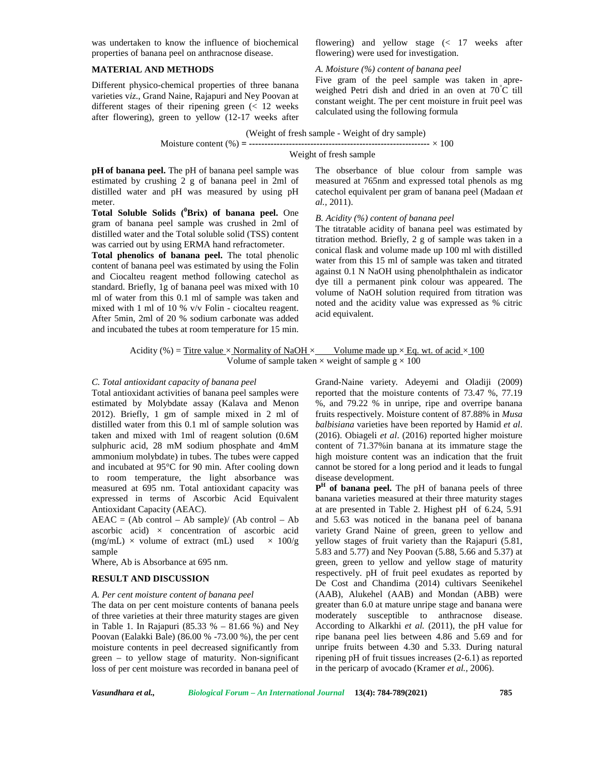was undertaken to know the influence of biochemical properties of banana peel on anthracnose disease.

### **MATERIAL AND METHODS**

Different physico-chemical properties of three banana varieties v*iz*., Grand Naine, Rajapuri and Ney Poovan at different stages of their ripening green (< 12 weeks after flowering), green to yellow (12-17 weeks after flowering) and yellow stage (< 17 weeks after flowering) were used for investigation.

## *A. Moisture (%) content of banana peel*

Five gram of the peel sample was taken in apre weighed Petri dish and dried in an oven at 70°C till constant weight. The per cent moisture in fruit peel was calculated using the following formula

(Weight of fresh sample - Weight of dry sample)

Moisture content (%) **= -----------------------------------------------------------** × 100

## Weight of fresh sample

**pH of banana peel.** The pH of banana peel sample was estimated by crushing 2 g of banana peel in 2ml of distilled water and pH was measured by using pH meter.

**Total Soluble Solids (<sup>0</sup>Brix) of banana peel.** One gram of banana peel sample was crushed in 2ml of distilled water and the Total soluble solid (TSS) content was carried out by using ERMA hand refractometer.

**Total phenolics of banana peel.** The total phenolic content of banana peel was estimated by using the Folin and Ciocalteu reagent method following catechol as standard. Briefly, 1g of banana peel was mixed with 10 ml of water from this 0.1 ml of sample was taken and mixed with 1 ml of 10 % v/v Folin - ciocalteu reagent. After 5min, 2ml of 20 % sodium carbonate was added and incubated the tubes at room temperature for 15 min.

The obserbance of blue colour from sample was measured at 765nm and expressed total phenols as mg catechol equivalent per gram of banana peel (Madaan *et al.,* 2011).

### *B. Acidity (%) content of banana peel*

The titratable acidity of banana peel was estimated by titration method. Briefly, 2 g of sample was taken in a conical flask and volume made up 100 ml with distilled water from this 15 ml of sample was taken and titrated against 0.1 N NaOH using phenolphthalein as indicator dye till a permanent pink colour was appeared. The volume of NaOH solution required from titration was noted and the acidity value was expressed as % citric acid equivalent.

## Acidity (%) = Titre value  $\times$  Normality of NaOH  $\times$  Volume made up  $\times$  Eq. wt. of acid  $\times$  100 Volume of sample taken  $\times$  weight of sample  $g \times 100$

#### *C. Total antioxidant capacity of banana peel*

Total antioxidant activities of banana peel samples were estimated by Molybdate assay (Kalava and Menon 2012). Briefly, 1 gm of sample mixed in 2 ml of distilled water from this 0.1 ml of sample solution was taken and mixed with 1ml of reagent solution (0.6M sulphuric acid, 28 mM sodium phosphate and 4mM ammonium molybdate) in tubes. The tubes were capped and incubated at 95°C for 90 min. After cooling down to room temperature, the light absorbance was measured at 695 nm. Total antioxidant capacity was expressed in terms of Ascorbic Acid Equivalent Antioxidant Capacity (AEAC).

 $AEAC = (Ab control - Ab sample) / (Ab control - Ab)$ ascorbic acid)  $\times$  concentration of ascorbic acid (mg/mL)  $\times$  volume of extract (mL) used  $\times$  100/g sample

Where, Ab is Absorbance at 695 nm.

#### **RESULT AND DISCUSSION**

#### *A. Per cent moisture content of banana peel*

The data on per cent moisture contents of banana peels of three varieties at their three maturity stages are given in Table 1. In Rajapuri (85.33 % – 81.66 %) and Ney Poovan (Ealakki Bale) (86.00 % -73.00 %), the per cent moisture contents in peel decreased significantly from green – to yellow stage of maturity. Non-significant loss of per cent moisture was recorded in banana peel of Grand-Naine variety. Adeyemi and Oladiji (2009) reported that the moisture contents of 73.47 %, 77.19 %, and 79.22 % in unripe, ripe and overripe banana fruits respectively. Moisture content of 87.88% in *Musa balbisiana* varieties have been reported by Hamid *et al*. (2016). Obiageli *et al*. (2016) reported higher moisture content of 71.37%in banana at its immature stage the high moisture content was an indication that the fruit cannot be stored for a long period and it leads to fungal disease development.

**P H of banana peel.** The pH of banana peels of three banana varieties measured at their three maturity stages at are presented in Table 2. Highest pH of 6.24, 5.91 and 5.63 was noticed in the banana peel of banana variety Grand Naine of green, green to yellow and yellow stages of fruit variety than the Rajapuri (5.81, 5.83 and 5.77) and Ney Poovan (5.88, 5.66 and 5.37) at green, green to yellow and yellow stage of maturity respectively. pH of fruit peel exudates as reported by De Cost and Chandima (2014) cultivars Seenikehel (AAB), Alukehel (AAB) and Mondan (ABB) were greater than 6.0 at mature unripe stage and banana were moderately susceptible to anthracnose disease. According to Alkarkhi *et al.* (2011), the pH value for ripe banana peel lies between 4.86 and 5.69 and for unripe fruits between 4.30 and 5.33. During natural ripening pH of fruit tissues increases (2-6.1) as reported in the pericarp of avocado (Kramer *et al.,* 2006).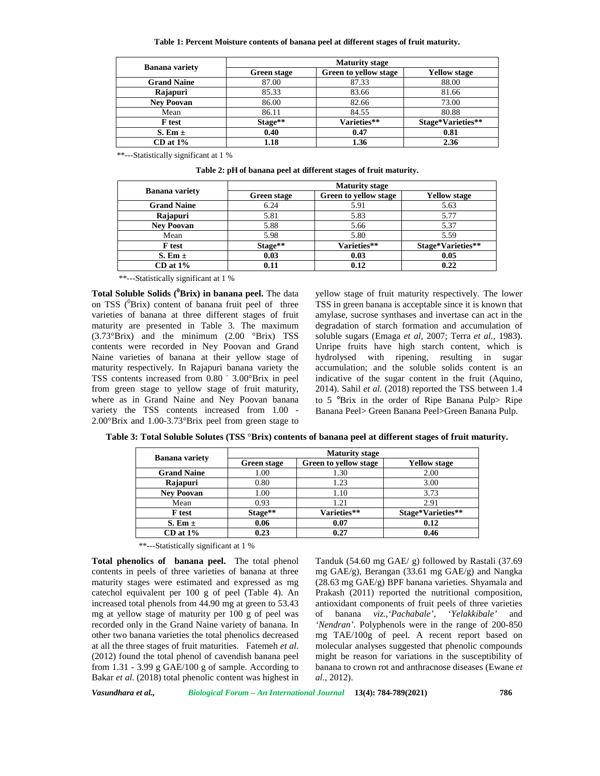**Table 1: Percent Moisture contents of banana peel at different stages of fruit maturity.**

|                       | <b>Maturity stage</b> |                       |                     |
|-----------------------|-----------------------|-----------------------|---------------------|
| <b>Banana</b> variety | Green stage           | Green to yellow stage | <b>Yellow stage</b> |
| <b>Grand Naine</b>    | 87.00                 | 87.33                 | 88.00               |
| Rajapuri              | 85.33                 | 83.66                 | 81.66               |
| <b>Nev Poovan</b>     | 86.00                 | 82.66                 | 73.00               |
| Mean                  | 86.11                 | 84.55                 | 80.88               |
| <b>F</b> test         | Stage**               | Varieties**           | Stage*Varieties**   |
| S. Em $\pm$           | 0.40                  | 0.47                  | 0.81                |
| $CD$ at $1\%$         | 1.18                  | 1.36                  | 2.36                |

\*\*---Statistically significant at 1 %

**Table 2: pH of banana peel at different stages of fruit maturity.**

|                       | <b>Maturity stage</b> |                              |                     |
|-----------------------|-----------------------|------------------------------|---------------------|
| <b>Banana</b> variety | Green stage           | <b>Green to yellow stage</b> | <b>Yellow stage</b> |
| <b>Grand Naine</b>    | 6.24                  | 5.91                         | 5.63                |
| Rajapuri              | 5.81                  | 5.83                         | 5.77                |
| <b>Nev Poovan</b>     | 5.88                  | 5.66                         | 5.37                |
| Mean                  | 5.98                  | 5.80                         | 5.59                |
| <b>F</b> test         | Stage**               | Varieties**                  | Stage*Varieties**   |
| S. Em $\pm$           | 0.03                  | 0.03                         | 0.05                |
| $CD$ at $1\%$         | 0.11                  | 0.12                         | 0.22                |

\*\*---Statistically significant at 1 %

**Total Soluble Solids (<sup>0</sup>Brix) in banana peel.** The data on TSS  $(^{0}Brix)$  content of banana fruit peel of three varieties of banana at three different stages of fruit maturity are presented in Table 3. The maximum (3.73°Brix) and the minimum (2.00 °Brix) TSS contents were recorded in Ney Poovan and Grand Naine varieties of banana at their yellow stage of maturity respectively. In Rajapuri banana variety the TSS contents increased from 0.80 - 3.00°Brix in peel from green stage to yellow stage of fruit maturity, where as in Grand Naine and Ney Poovan banana variety the TSS contents increased from 1.00 - 2.00°Brix and 1.00-3.73°Brix peel from green stage to yellow stage of fruit maturity respectively. The lower TSS in green banana is acceptable since it is known that amylase, sucrose synthases and invertase can act in the degradation of starch formation and accumulation of soluble sugars (Emaga *et al,* 2007; Terra *et al.,* 1983). Unripe fruits have high starch content, which is hydrolysed with ripening, resulting in sugar accumulation; and the soluble solids content is an indicative of the sugar content in the fruit (Aquino, 2014). Sahil *et al.* (2018) reported the TSS between 1.4 to 5 °Brix in the order of Ripe Banana Pulp> Ripe Banana Peel> Green Banana Peel>Green Banana Pulp.

| <b>Banana</b> variety | <b>Maturity stage</b> |                       |                     |
|-----------------------|-----------------------|-----------------------|---------------------|
|                       | Green stage           | Green to yellow stage | <b>Yellow stage</b> |
| <b>Grand Naine</b>    | 1.00                  | 1.30                  | 2.00                |
| Rajapuri              | 0.80                  | 1.23                  | 3.00                |
| <b>Nev Poovan</b>     | 1.00                  | 1.10                  | 3.73                |
| Mean                  | 0.93                  | 1.21                  | 2.91                |
| F test                | Stage**               | Varieties**           | Stage*Varieties**   |
| S. Em $\pm$           | 0.06                  | 0.07                  | 0.12                |
| $CD$ at $1\%$         | 0.23                  | 0.27                  | 0.46                |

**Table 3: Total Soluble Solutes (TSS** °**Brix) contents of banana peel at different stages of fruit maturity.**

\*\*---Statistically significant at 1 %

**Total phenolics of banana peel.** The total phenol contents in peels of three varieties of banana at three maturity stages were estimated and expressed as mg catechol equivalent per 100 g of peel (Table 4). An increased total phenols from 44.90 mg at green to 53.43 mg at yellow stage of maturity per 100 g of peel was recorded only in the Grand Naine variety of banana. In other two banana varieties the total phenolics decreased at all the three stages of fruit maturities. Fatemeh *et al*. (2012) found the total phenol of cavendish banana peel from  $1.31 - 3.99$  g GAE/100 g of sample. According to Bakar *et al*. (2018) total phenolic content was highest in

Tanduk (54.60 mg GAE/ g) followed by Rastali (37.69 mg GAE/g), Berangan (33.61 mg GAE/g) and Nangka (28.63 mg GAE/g) BPF banana varieties. Shyamala and Prakash (2011) reported the nutritional composition, antioxidant components of fruit peels of three varieties of banana *viz.,'Pachabale'*, '*Yelakkibale'* and *'Nendran'.* Polyphenols were in the range of 200-850 mg TAE/100g of peel. A recent report based on molecular analyses suggested that phenolic compounds might be reason for variations in the susceptibility of banana to crown rot and anthracnose diseases (Ewane *et al*., 2012).

*Vasundhara et al., Biological Forum – An International Journal* **13(4): 784-789(2021) 786**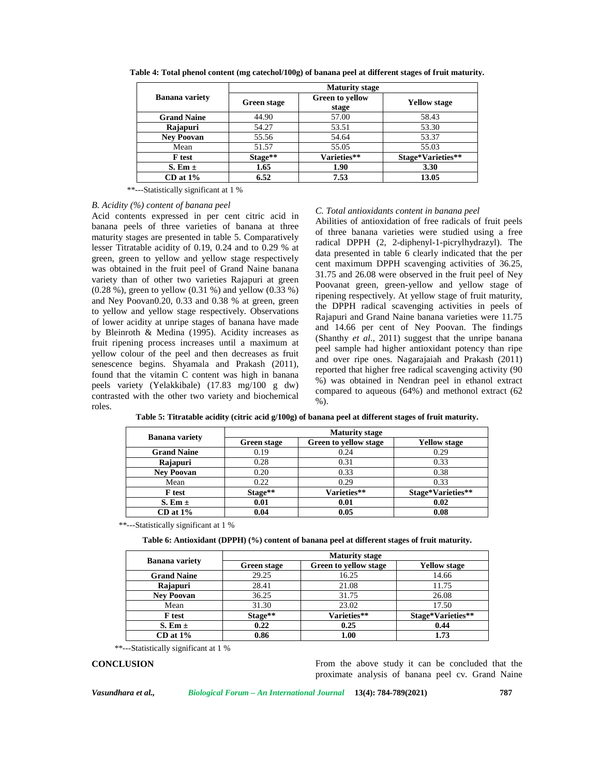|                       | <b>Maturity stage</b> |                                 |                     |
|-----------------------|-----------------------|---------------------------------|---------------------|
| <b>Banana</b> variety | <b>Green stage</b>    | <b>Green to yellow</b><br>stage | <b>Yellow stage</b> |
| <b>Grand Naine</b>    | 44.90                 | 57.00                           | 58.43               |
| Rajapuri              | 54.27                 | 53.51                           | 53.30               |
| <b>Nev Poovan</b>     | 55.56                 | 54.64                           | 53.37               |
| Mean                  | 51.57                 | 55.05                           | 55.03               |
| <b>F</b> test         | Stage**               | Varieties**                     | Stage*Varieties**   |
| S. Em $\pm$           | 1.65                  | 1.90                            | 3.30                |
| $CD$ at $1\%$         | 6.52                  | 7.53                            | 13.05               |

**Table 4: Total phenol content (mg catechol/100g) of banana peel at different stages of fruit maturity.**

\*\*---Statistically significant at 1 %

#### *B. Acidity (%) content of banana peel*

Acid contents expressed in per cent citric acid in banana peels of three varieties of banana at three maturity stages are presented in table 5. Comparatively lesser Titratable acidity of 0.19, 0.24 and to 0.29 % at green, green to yellow and yellow stage respectively was obtained in the fruit peel of Grand Naine banana variety than of other two varieties Rajapuri at green (0.28 %), green to yellow (0.31 %) and yellow (0.33 %) and Ney Poovan0.20, 0.33 and 0.38 % at green, green to yellow and yellow stage respectively. Observations of lower acidity at unripe stages of banana have made by Bleinroth & Medina (1995). Acidity increases as fruit ripening process increases until a maximum at yellow colour of the peel and then decreases as fruit senescence begins. Shyamala and Prakash (2011), found that the vitamin C content was high in banana peels variety (Yelakkibale) (17.83 mg/100 g dw) contrasted with the other two variety and biochemical roles.

## *C. Total antioxidants content in banana peel*

Abilities of antioxidation of free radicals of fruit peels of three banana varieties were studied using a free radical DPPH (2, 2-diphenyl-1-picrylhydrazyl). The data presented in table 6 clearly indicated that the per cent maximum DPPH scavenging activities of 36.25, 31.75 and 26.08 were observed in the fruit peel of Ney Poovanat green, green-yellow and yellow stage of ripening respectively. At yellow stage of fruit maturity, the DPPH radical scavenging activities in peels of Rajapuri and Grand Naine banana varieties were 11.75 and 14.66 per cent of Ney Poovan. The findings (Shanthy *et al*., 2011) suggest that the unripe banana peel sample had higher antioxidant potency than ripe and over ripe ones. Nagarajaiah and Prakash (2011) reported that higher free radical scavenging activity (90 %) was obtained in Nendran peel in ethanol extract compared to aqueous (64%) and methonol extract (62 %).

**Table 5: Titratable acidity (citric acid g/100g) of banana peel at different stages of fruit maturity.**

| Banana variety     | <b>Maturity stage</b> |                       |                     |
|--------------------|-----------------------|-----------------------|---------------------|
|                    | Green stage           | Green to yellow stage | <b>Yellow stage</b> |
| <b>Grand Naine</b> | 0.19                  | 0.24                  | 0.29                |
| Rajapuri           | 0.28                  | 0.31                  | 0.33                |
| <b>Nev Poovan</b>  | 0.20                  | 0.33                  | 0.38                |
| Mean               | 0.22                  | 0.29                  | 0.33                |
| <b>F</b> test      | Stage**               | Varieties**           | Stage*Varieties**   |
| S. Em $\pm$        | 0.01                  | 0.01                  | 0.02                |
| $CD$ at $1\%$      | 0.04                  | 0.05                  | 0.08                |

\*\*---Statistically significant at 1 %

**Table 6: Antioxidant (DPPH) (%) content of banana peel at different stages of fruit maturity.**

| <b>Banana</b> variety | <b>Maturity stage</b> |                       |                     |
|-----------------------|-----------------------|-----------------------|---------------------|
|                       | Green stage           | Green to yellow stage | <b>Yellow stage</b> |
| <b>Grand Naine</b>    | 29.25                 | 16.25                 | 14.66               |
| Rajapuri              | 28.41                 | 21.08                 | 11.75               |
| <b>Nev Poovan</b>     | 36.25                 | 31.75                 | 26.08               |
| Mean                  | 31.30                 | 23.02                 | 17.50               |
| <b>F</b> test         | Stage**               | Varieties**           | Stage*Varieties**   |
| S. Em $\pm$           | 0.22                  | 0.25                  | 0.44                |
| $CD$ at $1\%$         | 0.86                  | 1.00                  | 1.73                |

\*\*---Statistically significant at 1 %

**CONCLUSION** From the above study it can be concluded that the proximate analysis of banana peel cv. Grand Naine

*Vasundhara et al., Biological Forum – An International Journal* **13(4): 784-789(2021) 787**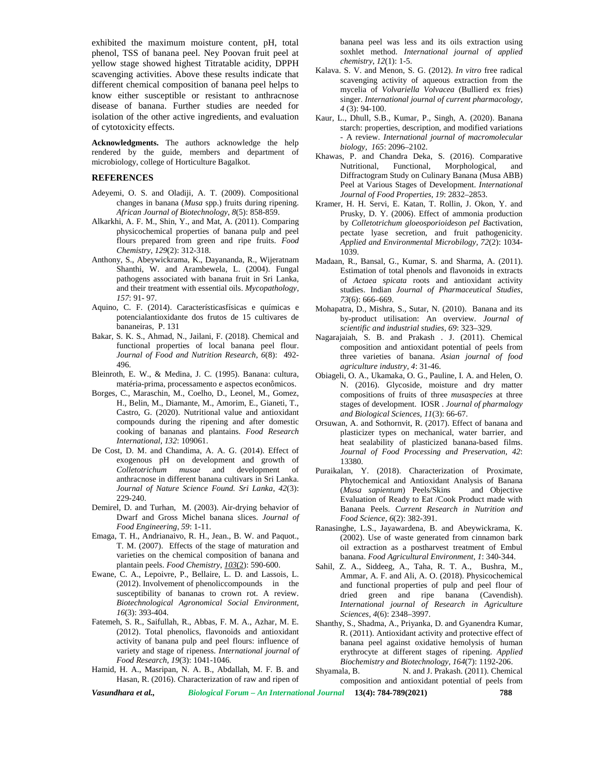exhibited the maximum moisture content, pH, total phenol, TSS of banana peel. Ney Poovan fruit peel at yellow stage showed highest Titratable acidity, DPPH scavenging activities. Above these results indicate that different chemical composition of banana peel helps to know either susceptible or resistant to anthracnose disease of banana. Further studies are needed for isolation of the other active ingredients, and evaluation of cytotoxicity effects.

**Acknowledgments.** The authors acknowledge the help rendered by the guide, members and department of microbiology, college of Horticulture Bagalkot.

## **REFERENCES**

- Adeyemi, O. S. and Oladiji, A. T. (2009). Compositional changes in banana (*Musa* spp.) fruits during ripening. *African Journal of Biotechnology*, *8*(5): 858-859.
- Alkarkhi, A. F. M., Shin, Y., and Mat, A. (2011). Comparing physicochemical properties of banana pulp and peel flours prepared from green and ripe fruits. *Food Chemistry*, *129*(2): 312-318.
- Anthony, S., Abeywickrama, K., Dayananda, R., Wijeratnam Shanthi, W. and Arambewela, L. (2004). Fungal pathogens associated with banana fruit in Sri Lanka, and their treatment with essential oils. *Mycopathology, 157*: 91- 97.
- Aquino, C. F. (2014). Característicasfísicas e químicas e potencialantioxidante dos frutos de 15 cultivares de bananeiras, P. 131
- Bakar, S. K. S., Ahmad, N., Jailani, F. (2018). Chemical and functional properties of local banana peel flour. *Journal of Food and Nutrition Research*, *6*(8): 492- 496.
- Bleinroth, E. W., & Medina, J. C. (1995). Banana: cultura, matéria-prima, processamento e aspectos econômicos.
- Borges, C., Maraschin, M., Coelho, D., Leonel, M., Gomez, H., Belin, M., Diamante, M., Amorim, E., Gianeti, T., Castro, G. (2020). Nutritional value and antioxidant compounds during the ripening and after domestic cooking of bananas and plantains. *Food Research International*, *132*: 109061.
- De Cost, D. M. and Chandima, A. A. G. (2014). Effect of exogenous pH on development and growth of *Colletotrichum musae* and development of anthracnose in different banana cultivars in Sri Lanka. *Journal of Nature Science Found. Sri Lanka*, *42*(3): 229-240.
- Demirel, D. and Turhan, M. (2003). Air-drying behavior of Dwarf and Gross Michel banana slices. *Journal of Food Engineering, 59*: 1-11.
- Emaga, T. H., Andrianaivo, R. H., Jean., B. W. and Paquot., T. M. (2007). Effects of the stage of maturation and varieties on the chemical composition of banana and plantain peels. *Food Chemistry*, *103*(2): 590-600.
- Ewane, C. A., Lepoivre, P., Bellaire, L. D. and Lassois, L. (2012). Involvement of phenoliccompounds in the susceptibility of bananas to crown rot. A review. *Biotechnological Agronomical Social Environment*, *16*(3): 393-404.
- Fatemeh, S. R., Saifullah, R., Abbas, F. M. A., Azhar, M. E. (2012). Total phenolics, flavonoids and antioxidant activity of banana pulp and peel flours: influence of variety and stage of ripeness. *International journal of Food Research*, *19*(3): 1041-1046.
- Hamid, H. A., Masripan, N. A. B., Abdallah, M. F. B. and Shyamala, B. Hasan, R. (2016). Characterization of raw and ripen of

banana peel was less and its oils extraction using soxhlet method. *International journal of applied chemistry*, *12*(1): 1-5.

- Kalava. S. V. and Menon, S. G. (2012). *In vitro* free radical scavenging activity of aqueous extraction from the mycelia of *Volvariella Volvacea* (Bullierd ex fries) singer. *International journal of current pharmacology, 4* (3): 94-100.
- Kaur, L., Dhull, S.B., Kumar, P., Singh, A. (2020). Banana starch: properties, description, and modified variations - A review. *International journal of macromolecular biology, 165*: 2096–2102.
- Khawas, P. and Chandra Deka, S. (2016). Comparative Morphological, and Diffractogram Study on Culinary Banana (Musa ABB) Peel at Various Stages of Development. *International Journal of Food Properties*, *19*: 2832–2853.
- Kramer, H. H. Servi, E. Katan, T. Rollin, J. Okon, Y. and Prusky, D. Y. (2006). Effect of ammonia production by *Colletotrichum gloeosporioides*on *pel B*activation, pectate lyase secretion, and fruit pathogenicity. *Applied and Environmental Microbilogy, 72*(2): 1034- 1039.
- Madaan, R., Bansal, G., Kumar, S. and Sharma, A. (2011). Estimation of total phenols and flavonoids in extracts of *Actaea spicata* roots and antioxidant activity studies. Indian *Journal of Pharmaceutical Studies*, *73*(6): 666–669.
- Mohapatra, D., Mishra, S., Sutar, N. (2010). Banana and its by-product utilisation: An overview. *Journal of scientific and industrial studies*, *69*: 323–329.
- Nagarajaiah, S. B. and Prakash . J. (2011). Chemical composition and antioxidant potential of peels from three varieties of banana. *Asian journal of food agriculture industry, 4*: 31-46.
- Obiageli, O. A., Ukamaka, O. G., Pauline, I. A. and Helen, O. N. (2016). Glycoside, moisture and dry matter compositions of fruits of three *musaspecies* at three stages of development. IOSR . *Journal of pharmalogy and Biological Sciences, 11*(3): 66-67.
- Orsuwan, A. and Sothornvit, R. (2017). Effect of banana and plasticizer types on mechanical, water barrier, and heat sealability of plasticized banana-based films. *Journal of Food Processing and Preservation, 42*: 13380.
- Puraikalan, Y. (2018). Characterization of Proximate, Phytochemical and Antioxidant Analysis of Banana (*Musa sapientum*) Peels/Skins and Objective Evaluation of Ready to Eat /Cook Product made with Banana Peels. *Current Research in Nutrition and Food Science*, *6*(2): 382-391.
- Ranasinghe, L.S., Jayawardena, B. and Abeywickrama, K. (2002). Use of waste generated from cinnamon bark oil extraction as a postharvest treatment of Embul banana. *Food Agricultural Environment, 1*: 340-344.
- Sahil, Z. A., Siddeeg, A., Taha, R. T. A., Bushra, M., Ammar, A. F. and Ali, A. O. (2018). Physicochemical and functional properties of pulp and peel flour of dried green and ripe banana (Cavendish). *International journal of Research in Agriculture Sciences, 4*(6): 2348–3997.
- Shanthy, S., Shadma, A., Priyanka, D. and Gyanendra Kumar, R. (2011). Antioxidant activity and protective effect of banana peel against oxidative hemolysis of human erythrocyte at different stages of ripening. *Applied Biochemistry and Biotechnology, 164*(7): 1192-206.
- N. and J. Prakash. (2011). Chemical composition and antioxidant potential of peels from

*Vasundhara et al., Biological Forum – An International Journal* **13(4): 784-789(2021) 788**